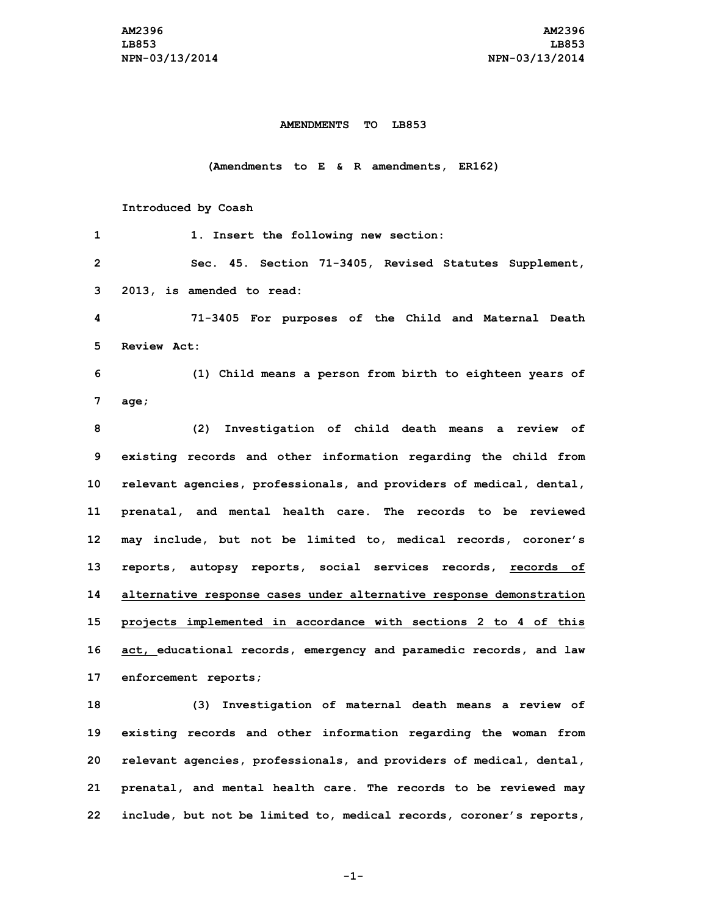## **AMENDMENTS TO LB853**

## **(Amendments to E & R amendments, ER162)**

## **Introduced by Coash**

| 1              | 1. Insert the following new section:                                |
|----------------|---------------------------------------------------------------------|
| $\overline{2}$ | Sec. 45. Section 71-3405, Revised Statutes Supplement,              |
| 3              | 2013, is amended to read:                                           |
| 4              | 71-3405 For purposes of the Child and Maternal Death                |
| 5.             | Review Act:                                                         |
| 6              | (1) Child means a person from birth to eighteen years of            |
| 7              | aqe;                                                                |
| 8              | (2)<br>Investigation of child death means a review of               |
| 9              | existing records and other information regarding the child from     |
| 10             | relevant agencies, professionals, and providers of medical, dental, |
| 11             | prenatal, and mental health care. The records to be reviewed        |
| 12             | may include, but not be limited to, medical records, coroner's      |
| 13             | reports, autopsy reports, social services records, records of       |
| 14             | alternative response cases under alternative response demonstration |
| 15             | projects implemented in accordance with sections 2 to 4 of this     |
| 16             | act, educational records, emergency and paramedic records, and law  |
| 17             | enforcement reports;                                                |
| 18             | (3) Investigation of maternal death means a review of               |
| 19             | existing records and other information regarding the woman from     |
| 20             | relevant agencies, professionals, and providers of medical, dental, |
| 21             | prenatal, and mental health care. The records to be reviewed may    |
| 22             | include, but not be limited to, medical records, coroner's reports, |

**-1-**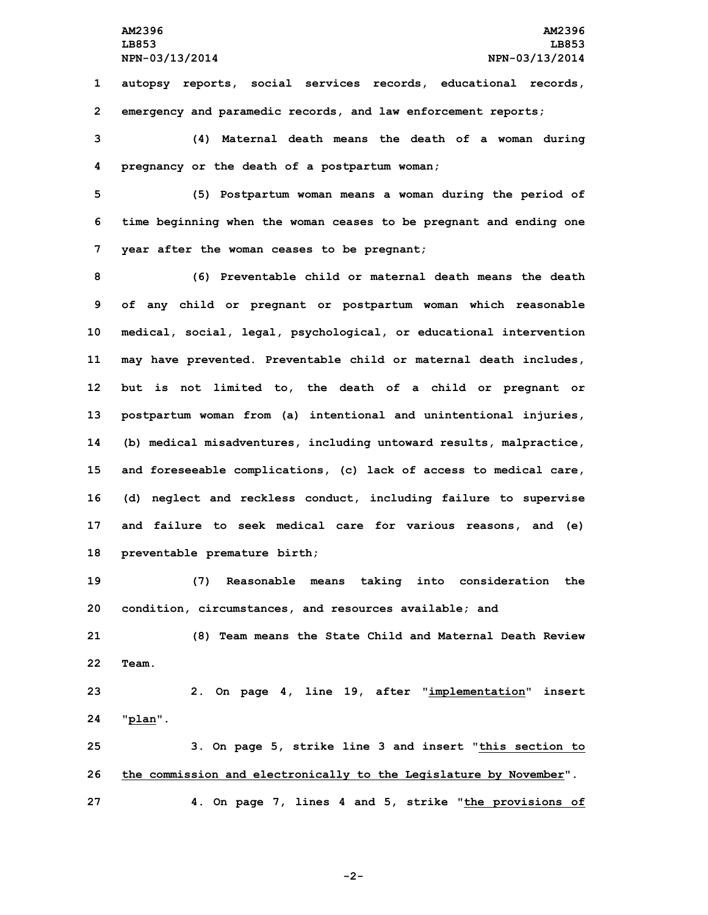**1 autopsy reports, social services records, educational records, 2 emergency and paramedic records, and law enforcement reports;**

**3 (4) Maternal death means the death of <sup>a</sup> woman during 4 pregnancy or the death of <sup>a</sup> postpartum woman;**

**5 (5) Postpartum woman means <sup>a</sup> woman during the period of 6 time beginning when the woman ceases to be pregnant and ending one 7 year after the woman ceases to be pregnant;**

 **(6) Preventable child or maternal death means the death of any child or pregnant or postpartum woman which reasonable medical, social, legal, psychological, or educational intervention may have prevented. Preventable child or maternal death includes, but is not limited to, the death of <sup>a</sup> child or pregnant or postpartum woman from (a) intentional and unintentional injuries, (b) medical misadventures, including untoward results, malpractice, and foreseeable complications, (c) lack of access to medical care, (d) neglect and reckless conduct, including failure to supervise and failure to seek medical care for various reasons, and (e) preventable premature birth;**

**19 (7) Reasonable means taking into consideration the 20 condition, circumstances, and resources available; and**

**21 (8) Team means the State Child and Maternal Death Review 22 Team.**

**23 2. On page 4, line 19, after "implementation" insert 24 "plan".**

**25 3. On page 5, strike line 3 and insert "this section to 26 the commission and electronically to the Legislature by November". 27 4. On page 7, lines 4 and 5, strike "the provisions of**

**-2-**